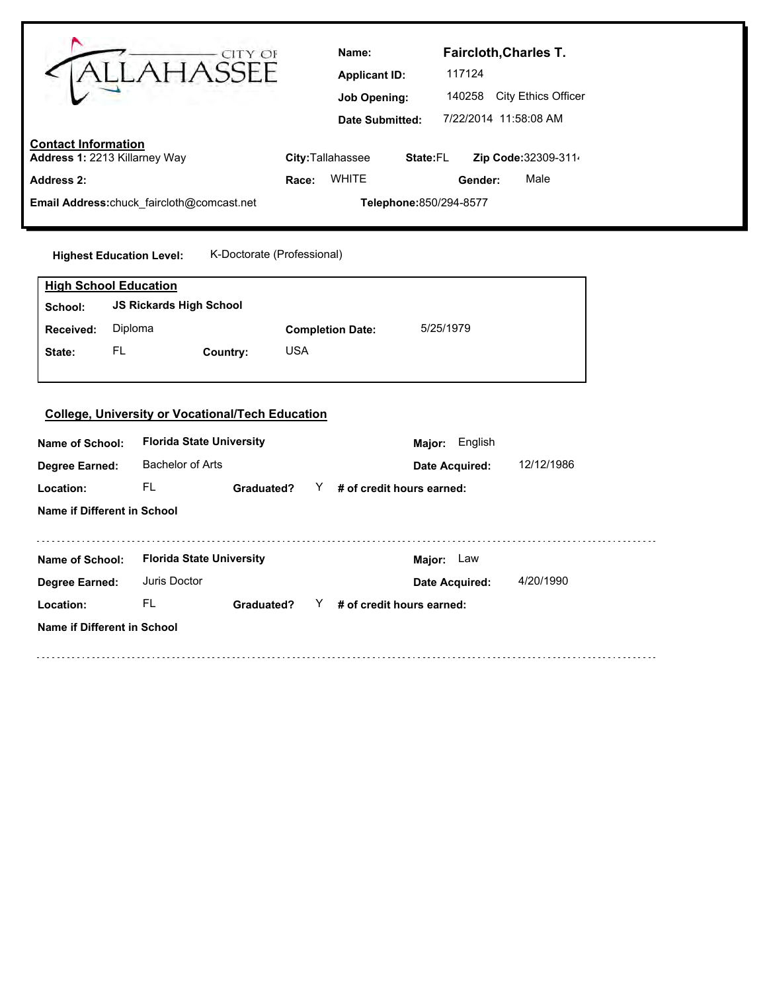| CITY OF<br><b>AHASS</b>                                                                                                                                           | <b>Faircloth, Charles T.</b><br>Name:<br>117124<br><b>Applicant ID:</b><br>140258 City Ethics Officer<br><b>Job Opening:</b><br>7/22/2014 11:58:08 AM<br>Date Submitted: |
|-------------------------------------------------------------------------------------------------------------------------------------------------------------------|--------------------------------------------------------------------------------------------------------------------------------------------------------------------------|
| <b>Contact Information</b><br>Address 1: 2213 Killarney Way                                                                                                       | City: Tallahassee<br>Zip Code: 32309-311<br>State:FL                                                                                                                     |
| <b>Address 2:</b>                                                                                                                                                 | <b>WHITE</b><br>Male<br>Gender:<br>Race:                                                                                                                                 |
| Email Address:chuck_faircloth@comcast.net                                                                                                                         | Telephone: 850/294-8577                                                                                                                                                  |
|                                                                                                                                                                   |                                                                                                                                                                          |
| K-Doctorate (Professional)<br><b>Highest Education Level:</b>                                                                                                     |                                                                                                                                                                          |
| <b>High School Education</b>                                                                                                                                      |                                                                                                                                                                          |
| <b>JS Rickards High School</b><br>School:                                                                                                                         |                                                                                                                                                                          |
| Diploma<br>Received:                                                                                                                                              | 5/25/1979<br><b>Completion Date:</b>                                                                                                                                     |
| FL<br>Country:<br>State:                                                                                                                                          | <b>USA</b>                                                                                                                                                               |
| <b>College, University or Vocational/Tech Education</b><br><b>Florida State University</b><br>Name of School:<br><b>Bachelor of Arts</b><br><b>Degree Earned:</b> | English<br>Major:<br>12/12/1986<br>Date Acquired:                                                                                                                        |
| FL.<br>Location:<br>Graduated?                                                                                                                                    | # of credit hours earned:<br>Y.                                                                                                                                          |
| Name if Different in School                                                                                                                                       |                                                                                                                                                                          |
| <b>Florida State University</b><br>Name of School:                                                                                                                | Major: Law                                                                                                                                                               |
| Juris Doctor<br><b>Degree Earned:</b>                                                                                                                             | 4/20/1990<br>Date Acquired:                                                                                                                                              |
| FL.<br>Location:<br>Graduated?                                                                                                                                    | $Y$ # of credit hours earned:                                                                                                                                            |
| Name if Different in School                                                                                                                                       |                                                                                                                                                                          |
|                                                                                                                                                                   |                                                                                                                                                                          |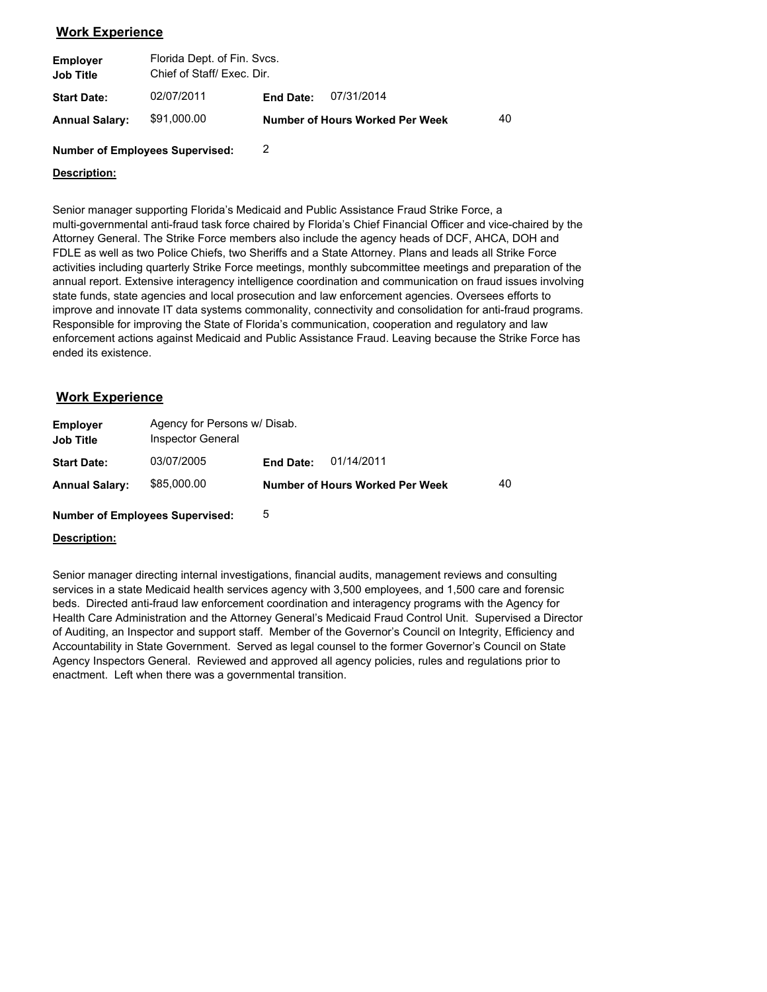# **Work Experience**

| <b>Employer</b><br><b>Job Title</b> | Florida Dept. of Fin. Svcs.<br>Chief of Staff/ Exec. Dir. |           |                                        |    |
|-------------------------------------|-----------------------------------------------------------|-----------|----------------------------------------|----|
| <b>Start Date:</b>                  | 02/07/2011                                                | End Date: | 07/31/2014                             |    |
| <b>Annual Salary:</b>               | \$91,000.00                                               |           | <b>Number of Hours Worked Per Week</b> | 40 |

#### **Number of Employees Supervised:** 2

### **Description:**

Senior manager supporting Florida's Medicaid and Public Assistance Fraud Strike Force, a multi-governmental anti-fraud task force chaired by Florida's Chief Financial Officer and vice-chaired by the Attorney General. The Strike Force members also include the agency heads of DCF, AHCA, DOH and FDLE as well as two Police Chiefs, two Sheriffs and a State Attorney. Plans and leads all Strike Force activities including quarterly Strike Force meetings, monthly subcommittee meetings and preparation of the annual report. Extensive interagency intelligence coordination and communication on fraud issues involving state funds, state agencies and local prosecution and law enforcement agencies. Oversees efforts to improve and innovate IT data systems commonality, connectivity and consolidation for anti-fraud programs. Responsible for improving the State of Florida's communication, cooperation and regulatory and law enforcement actions against Medicaid and Public Assistance Fraud. Leaving because the Strike Force has ended its existence.

## **Work Experience**

| <b>Employer</b><br><b>Job Title</b> | Agency for Persons w/ Disab.<br>Inspector General |           |                                 |    |
|-------------------------------------|---------------------------------------------------|-----------|---------------------------------|----|
| <b>Start Date:</b>                  | 03/07/2005                                        | End Date: | 01/14/2011                      |    |
| <b>Annual Salary:</b>               | \$85,000.00                                       |           | Number of Hours Worked Per Week | 40 |

**Number of Employees Supervised:** 5

#### **Description:**

Senior manager directing internal investigations, financial audits, management reviews and consulting services in a state Medicaid health services agency with 3,500 employees, and 1,500 care and forensic beds. Directed anti-fraud law enforcement coordination and interagency programs with the Agency for Health Care Administration and the Attorney General's Medicaid Fraud Control Unit. Supervised a Director of Auditing, an Inspector and support staff. Member of the Governor's Council on Integrity, Efficiency and Accountability in State Government. Served as legal counsel to the former Governor's Council on State Agency Inspectors General. Reviewed and approved all agency policies, rules and regulations prior to enactment. Left when there was a governmental transition.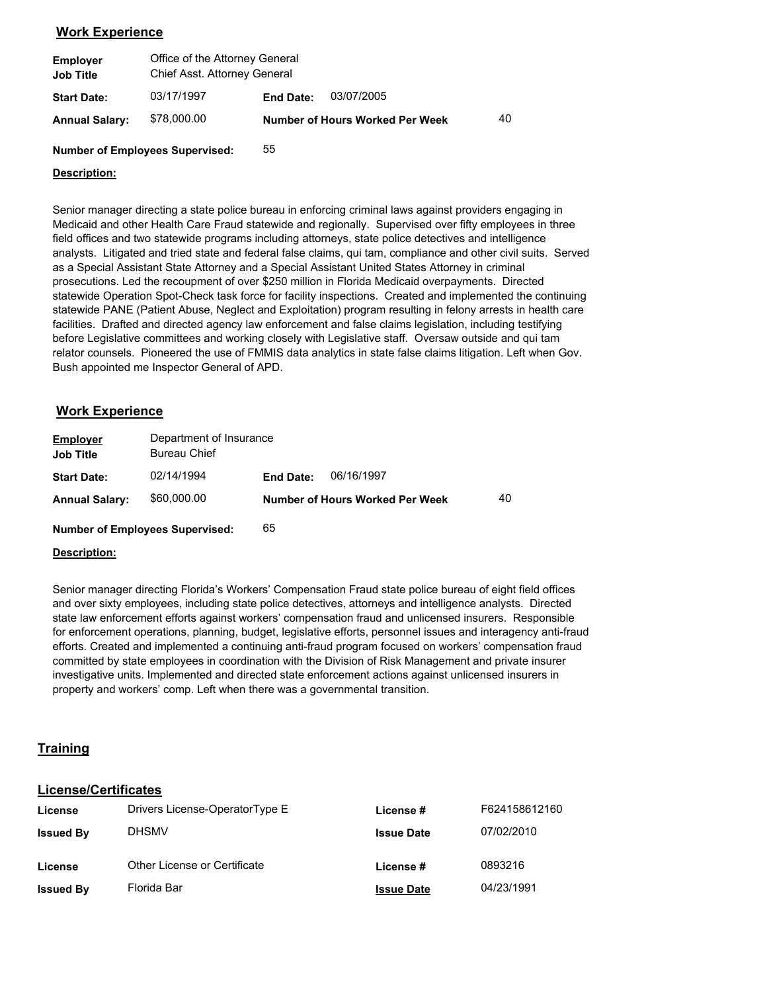# **Work Experience**

| <b>Employer</b><br><b>Job Title</b> | Office of the Attorney General<br>Chief Asst. Attorney General |                  |                                        |    |  |  |
|-------------------------------------|----------------------------------------------------------------|------------------|----------------------------------------|----|--|--|
| <b>Start Date:</b>                  | 03/17/1997                                                     | <b>End Date:</b> | 03/07/2005                             |    |  |  |
| <b>Annual Salary:</b>               | \$78,000.00                                                    |                  | <b>Number of Hours Worked Per Week</b> | 40 |  |  |

**Number of Employees Supervised:** 55

### **Description:**

Senior manager directing a state police bureau in enforcing criminal laws against providers engaging in Medicaid and other Health Care Fraud statewide and regionally. Supervised over fifty employees in three field offices and two statewide programs including attorneys, state police detectives and intelligence analysts. Litigated and tried state and federal false claims, qui tam, compliance and other civil suits. Served as a Special Assistant State Attorney and a Special Assistant United States Attorney in criminal prosecutions. Led the recoupment of over \$250 million in Florida Medicaid overpayments. Directed statewide Operation Spot-Check task force for facility inspections. Created and implemented the continuing statewide PANE (Patient Abuse, Neglect and Exploitation) program resulting in felony arrests in health care facilities. Drafted and directed agency law enforcement and false claims legislation, including testifying before Legislative committees and working closely with Legislative staff. Oversaw outside and qui tam relator counsels. Pioneered the use of FMMIS data analytics in state false claims litigation. Left when Gov. Bush appointed me Inspector General of APD.

## **Work Experience**

| <b>Employer</b><br><b>Job Title</b> | Department of Insurance<br><b>Bureau Chief</b> |                                 |    |
|-------------------------------------|------------------------------------------------|---------------------------------|----|
| <b>Start Date:</b>                  | 02/14/1994                                     | 06/16/1997<br><b>End Date:</b>  |    |
| <b>Annual Salary:</b>               | \$60,000.00                                    | Number of Hours Worked Per Week | 40 |
| .                                   | $\sim$                                         |                                 |    |

**Number of Employees Supervised:** 65

### **Description:**

Senior manager directing Florida's Workers' Compensation Fraud state police bureau of eight field offices and over sixty employees, including state police detectives, attorneys and intelligence analysts. Directed state law enforcement efforts against workers' compensation fraud and unlicensed insurers. Responsible for enforcement operations, planning, budget, legislative efforts, personnel issues and interagency anti-fraud efforts. Created and implemented a continuing anti-fraud program focused on workers' compensation fraud committed by state employees in coordination with the Division of Risk Management and private insurer investigative units. Implemented and directed state enforcement actions against unlicensed insurers in property and workers' comp. Left when there was a governmental transition.

## **Training**

## **License/Certificates**

| License          | Drivers License-OperatorType E | License #         | F624158612160 |
|------------------|--------------------------------|-------------------|---------------|
| <b>Issued By</b> | <b>DHSMV</b>                   | <b>Issue Date</b> | 07/02/2010    |
| License          | Other License or Certificate   | License #         | 0893216       |
| <b>Issued By</b> | Florida Bar                    | <b>Issue Date</b> | 04/23/1991    |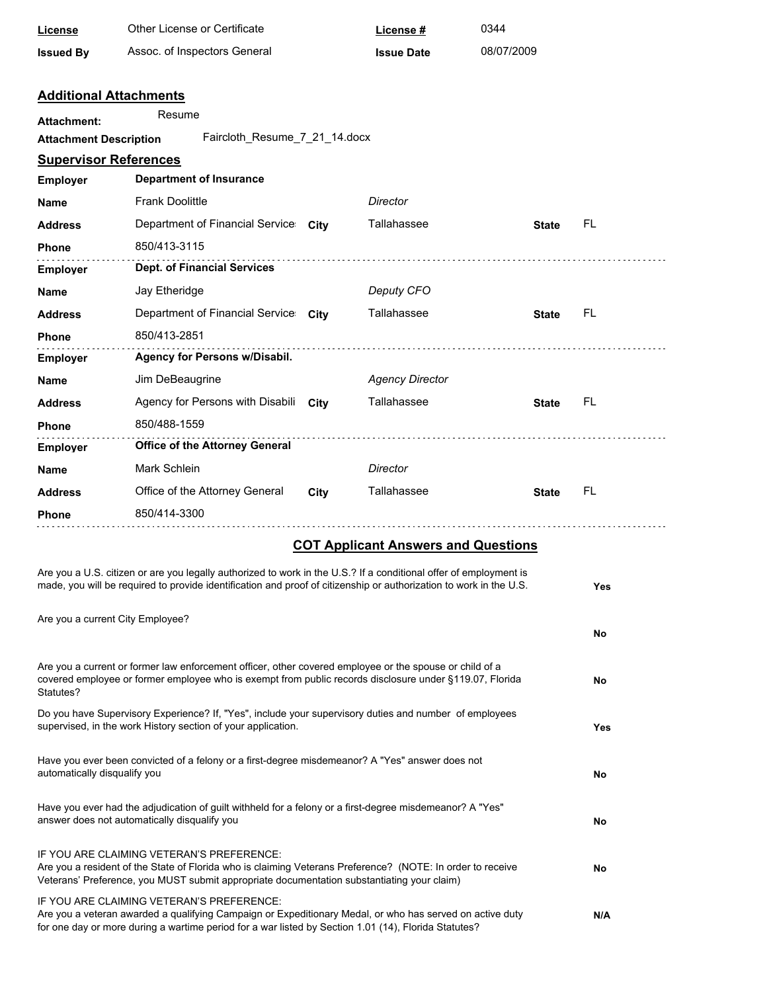| License                                                                                                                                                  | Other License or Certificate                                                                                                                                                                                                                                  |      | License #                                  | 0344         |            |
|----------------------------------------------------------------------------------------------------------------------------------------------------------|---------------------------------------------------------------------------------------------------------------------------------------------------------------------------------------------------------------------------------------------------------------|------|--------------------------------------------|--------------|------------|
| <b>Issued By</b>                                                                                                                                         | Assoc. of Inspectors General                                                                                                                                                                                                                                  |      | <b>Issue Date</b>                          | 08/07/2009   |            |
|                                                                                                                                                          | <b>Additional Attachments</b>                                                                                                                                                                                                                                 |      |                                            |              |            |
| <b>Attachment:</b>                                                                                                                                       | Resume                                                                                                                                                                                                                                                        |      |                                            |              |            |
| <b>Attachment Description</b>                                                                                                                            | Faircloth_Resume_7_21_14.docx                                                                                                                                                                                                                                 |      |                                            |              |            |
| <b>Supervisor References</b>                                                                                                                             |                                                                                                                                                                                                                                                               |      |                                            |              |            |
| <b>Employer</b>                                                                                                                                          | <b>Department of Insurance</b>                                                                                                                                                                                                                                |      |                                            |              |            |
| Name                                                                                                                                                     | <b>Frank Doolittle</b>                                                                                                                                                                                                                                        |      | Director                                   |              |            |
| Address                                                                                                                                                  | Department of Financial Service City                                                                                                                                                                                                                          |      | Tallahassee                                | <b>State</b> | FL         |
| Phone                                                                                                                                                    | 850/413-3115                                                                                                                                                                                                                                                  |      |                                            |              |            |
| <b>Employer</b>                                                                                                                                          | <b>Dept. of Financial Services</b>                                                                                                                                                                                                                            |      |                                            |              |            |
| Name                                                                                                                                                     | Jay Etheridge                                                                                                                                                                                                                                                 |      | Deputy CFO                                 |              |            |
| <b>Address</b>                                                                                                                                           | Department of Financial Service City                                                                                                                                                                                                                          |      | Tallahassee                                | <b>State</b> | FL         |
| Phone                                                                                                                                                    | 850/413-2851                                                                                                                                                                                                                                                  |      |                                            |              |            |
| <b>Employer</b>                                                                                                                                          | Agency for Persons w/Disabil.                                                                                                                                                                                                                                 |      |                                            |              |            |
| Name                                                                                                                                                     | Jim DeBeaugrine                                                                                                                                                                                                                                               |      | <b>Agency Director</b>                     |              |            |
| Address                                                                                                                                                  | Agency for Persons with Disabili                                                                                                                                                                                                                              | City | Tallahassee                                | <b>State</b> | FL         |
| Phone                                                                                                                                                    | 850/488-1559                                                                                                                                                                                                                                                  |      |                                            |              |            |
| <b>Employer</b>                                                                                                                                          | <b>Office of the Attorney General</b>                                                                                                                                                                                                                         |      |                                            |              |            |
| <b>Name</b>                                                                                                                                              | Mark Schlein                                                                                                                                                                                                                                                  |      | Director                                   |              |            |
| <b>Address</b>                                                                                                                                           | Office of the Attorney General                                                                                                                                                                                                                                | City | Tallahassee                                | <b>State</b> | FL         |
| Phone                                                                                                                                                    | 850/414-3300                                                                                                                                                                                                                                                  |      |                                            |              |            |
|                                                                                                                                                          |                                                                                                                                                                                                                                                               |      | <b>COT Applicant Answers and Questions</b> |              |            |
|                                                                                                                                                          | Are you a U.S. citizen or are you legally authorized to work in the U.S.? If a conditional offer of employment is                                                                                                                                             |      |                                            |              |            |
|                                                                                                                                                          | made, you will be required to provide identification and proof of citizenship or authorization to work in the U.S.                                                                                                                                            |      |                                            |              | Yes        |
|                                                                                                                                                          | Are you a current City Employee?                                                                                                                                                                                                                              |      |                                            |              | No         |
|                                                                                                                                                          |                                                                                                                                                                                                                                                               |      |                                            |              |            |
| Statutes?                                                                                                                                                | Are you a current or former law enforcement officer, other covered employee or the spouse or child of a<br>covered employee or former employee who is exempt from public records disclosure under §119.07, Florida                                            |      |                                            |              | No         |
|                                                                                                                                                          | Do you have Supervisory Experience? If, "Yes", include your supervisory duties and number of employees<br>supervised, in the work History section of your application.                                                                                        |      |                                            |              | <b>Yes</b> |
| automatically disqualify you                                                                                                                             | Have you ever been convicted of a felony or a first-degree misdemeanor? A "Yes" answer does not                                                                                                                                                               |      |                                            |              | No         |
| Have you ever had the adjudication of guilt withheld for a felony or a first-degree misdemeanor? A "Yes"<br>answer does not automatically disqualify you |                                                                                                                                                                                                                                                               |      |                                            |              | No         |
|                                                                                                                                                          | IF YOU ARE CLAIMING VETERAN'S PREFERENCE:<br>Are you a resident of the State of Florida who is claiming Veterans Preference? (NOTE: In order to receive<br>Veterans' Preference, you MUST submit appropriate documentation substantiating your claim)         |      |                                            |              | No         |
|                                                                                                                                                          | IF YOU ARE CLAIMING VETERAN'S PREFERENCE:<br>Are you a veteran awarded a qualifying Campaign or Expeditionary Medal, or who has served on active duty<br>for one day or more during a wartime period for a war listed by Section 1.01 (14), Florida Statutes? |      |                                            |              | N/A        |